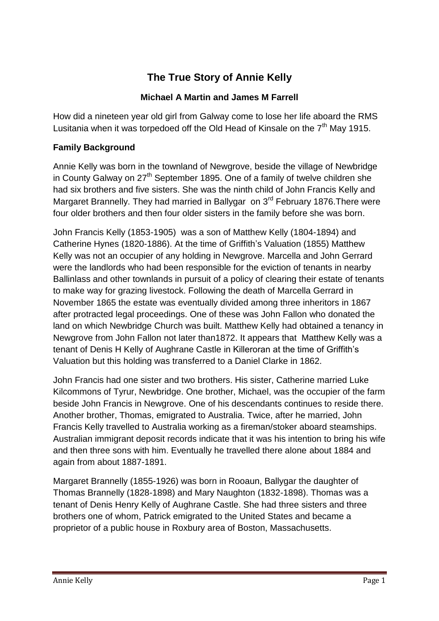# **The True Story of Annie Kelly**

# **Michael A Martin and James M Farrell**

How did a nineteen year old girl from Galway come to lose her life aboard the RMS Lusitania when it was torpedoed off the Old Head of Kinsale on the  $7<sup>th</sup>$  Mav 1915.

## **Family Background**

Annie Kelly was born in the townland of Newgrove, beside the village of Newbridge in County Galway on  $27<sup>th</sup>$  September 1895. One of a family of twelve children she had six brothers and five sisters. She was the ninth child of John Francis Kelly and Margaret Brannelly. They had married in Ballygar on 3<sup>rd</sup> February 1876. There were four older brothers and then four older sisters in the family before she was born.

John Francis Kelly (1853-1905) was a son of Matthew Kelly (1804-1894) and Catherine Hynes (1820-1886). At the time of Griffith's Valuation (1855) Matthew Kelly was not an occupier of any holding in Newgrove. Marcella and John Gerrard were the landlords who had been responsible for the eviction of tenants in nearby Ballinlass and other townlands in pursuit of a policy of clearing their estate of tenants to make way for grazing livestock. Following the death of Marcella Gerrard in November 1865 the estate was eventually divided among three inheritors in 1867 after protracted legal proceedings. One of these was John Fallon who donated the land on which Newbridge Church was built. Matthew Kelly had obtained a tenancy in Newgrove from John Fallon not later than1872. It appears that Matthew Kelly was a tenant of Denis H Kelly of Aughrane Castle in Killeroran at the time of Griffith's Valuation but this holding was transferred to a Daniel Clarke in 1862.

John Francis had one sister and two brothers. His sister, Catherine married Luke Kilcommons of Tyrur, Newbridge. One brother, Michael, was the occupier of the farm beside John Francis in Newgrove. One of his descendants continues to reside there. Another brother, Thomas, emigrated to Australia. Twice, after he married, John Francis Kelly travelled to Australia working as a fireman/stoker aboard steamships. Australian immigrant deposit records indicate that it was his intention to bring his wife and then three sons with him. Eventually he travelled there alone about 1884 and again from about 1887-1891.

Margaret Brannelly (1855-1926) was born in Rooaun, Ballygar the daughter of Thomas Brannelly (1828-1898) and Mary Naughton (1832-1898). Thomas was a tenant of Denis Henry Kelly of Aughrane Castle. She had three sisters and three brothers one of whom, Patrick emigrated to the United States and became a proprietor of a public house in Roxbury area of Boston, Massachusetts.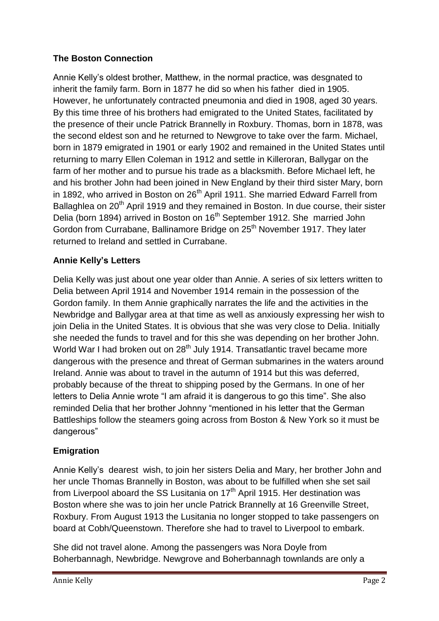# **The Boston Connection**

Annie Kelly's oldest brother, Matthew, in the normal practice, was desgnated to inherit the family farm. Born in 1877 he did so when his father died in 1905. However, he unfortunately contracted pneumonia and died in 1908, aged 30 years. By this time three of his brothers had emigrated to the United States, facilitated by the presence of their uncle Patrick Brannelly in Roxbury. Thomas, born in 1878, was the second eldest son and he returned to Newgrove to take over the farm. Michael, born in 1879 emigrated in 1901 or early 1902 and remained in the United States until returning to marry Ellen Coleman in 1912 and settle in Killeroran, Ballygar on the farm of her mother and to pursue his trade as a blacksmith. Before Michael left, he and his brother John had been joined in New England by their third sister Mary, born in 1892, who arrived in Boston on 26<sup>th</sup> April 1911. She married Edward Farrell from Ballaghlea on 20<sup>th</sup> April 1919 and they remained in Boston. In due course, their sister Delia (born 1894) arrived in Boston on 16<sup>th</sup> September 1912. She married John Gordon from Currabane, Ballinamore Bridge on 25<sup>th</sup> November 1917. They later returned to Ireland and settled in Currabane.

# **Annie Kelly's Letters**

Delia Kelly was just about one year older than Annie. A series of six letters written to Delia between April 1914 and November 1914 remain in the possession of the Gordon family. In them Annie graphically narrates the life and the activities in the Newbridge and Ballygar area at that time as well as anxiously expressing her wish to join Delia in the United States. It is obvious that she was very close to Delia. Initially she needed the funds to travel and for this she was depending on her brother John. World War I had broken out on 28<sup>th</sup> July 1914. Transatlantic travel became more dangerous with the presence and threat of German submarines in the waters around Ireland. Annie was about to travel in the autumn of 1914 but this was deferred, probably because of the threat to shipping posed by the Germans. In one of her letters to Delia Annie wrote "I am afraid it is dangerous to go this time". She also reminded Delia that her brother Johnny "mentioned in his letter that the German Battleships follow the steamers going across from Boston & New York so it must be dangerous"

## **Emigration**

Annie Kelly's dearest wish, to join her sisters Delia and Mary, her brother John and her uncle Thomas Brannelly in Boston, was about to be fulfilled when she set sail from Liverpool aboard the SS Lusitania on  $17<sup>th</sup>$  April 1915. Her destination was Boston where she was to join her uncle Patrick Brannelly at 16 Greenville Street, Roxbury. From August 1913 the Lusitania no longer stopped to take passengers on board at Cobh/Queenstown. Therefore she had to travel to Liverpool to embark.

She did not travel alone. Among the passengers was Nora Doyle from Boherbannagh, Newbridge. Newgrove and Boherbannagh townlands are only a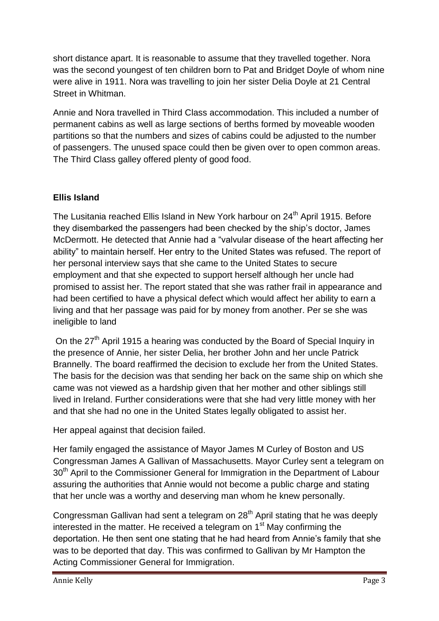short distance apart. It is reasonable to assume that they travelled together. Nora was the second youngest of ten children born to Pat and Bridget Doyle of whom nine were alive in 1911. Nora was travelling to join her sister Delia Doyle at 21 Central Street in Whitman.

Annie and Nora travelled in Third Class accommodation. This included a number of permanent cabins as well as large sections of berths formed by moveable wooden partitions so that the numbers and sizes of cabins could be adjusted to the number of passengers. The unused space could then be given over to open common areas. The Third Class galley offered plenty of good food.

# **Ellis Island**

The Lusitania reached Ellis Island in New York harbour on 24<sup>th</sup> April 1915. Before they disembarked the passengers had been checked by the ship's doctor, James McDermott. He detected that Annie had a "valvular disease of the heart affecting her ability" to maintain herself. Her entry to the United States was refused. The report of her personal interview says that she came to the United States to secure employment and that she expected to support herself although her uncle had promised to assist her. The report stated that she was rather frail in appearance and had been certified to have a physical defect which would affect her ability to earn a living and that her passage was paid for by money from another. Per se she was ineligible to land

On the 27<sup>th</sup> April 1915 a hearing was conducted by the Board of Special Inquiry in the presence of Annie, her sister Delia, her brother John and her uncle Patrick Brannelly. The board reaffirmed the decision to exclude her from the United States. The basis for the decision was that sending her back on the same ship on which she came was not viewed as a hardship given that her mother and other siblings still lived in Ireland. Further considerations were that she had very little money with her and that she had no one in the United States legally obligated to assist her.

Her appeal against that decision failed.

Her family engaged the assistance of Mayor James M Curley of Boston and US Congressman James A Gallivan of Massachusetts. Mayor Curley sent a telegram on 30<sup>th</sup> April to the Commissioner General for Immigration in the Department of Labour assuring the authorities that Annie would not become a public charge and stating that her uncle was a worthy and deserving man whom he knew personally.

Congressman Gallivan had sent a telegram on 28<sup>th</sup> April stating that he was deeply interested in the matter. He received a telegram on  $1<sup>st</sup>$  May confirming the deportation. He then sent one stating that he had heard from Annie's family that she was to be deported that day. This was confirmed to Gallivan by Mr Hampton the Acting Commissioner General for Immigration.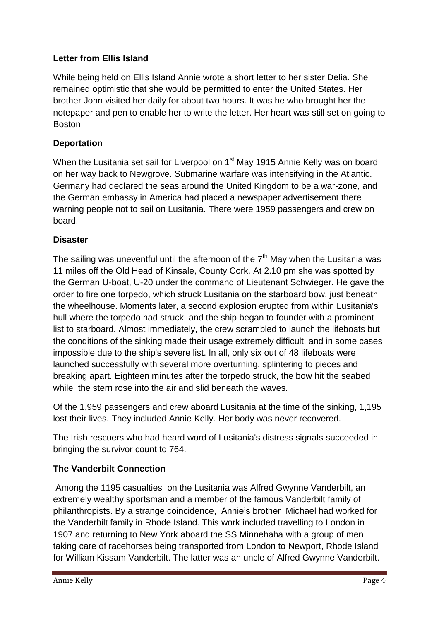## **Letter from Ellis Island**

While being held on Ellis Island Annie wrote a short letter to her sister Delia. She remained optimistic that she would be permitted to enter the United States. Her brother John visited her daily for about two hours. It was he who brought her the notepaper and pen to enable her to write the letter. Her heart was still set on going to Boston

## **Deportation**

When the Lusitania set sail for Liverpool on 1<sup>st</sup> May 1915 Annie Kelly was on board on her way back to Newgrove. Submarine warfare was intensifying in the Atlantic. Germany had declared the seas around the United Kingdom to be a war-zone, and the German embassy in America had placed a newspaper advertisement there warning people not to sail on Lusitania. There were 1959 passengers and crew on board.

## **Disaster**

The sailing was uneventful until the afternoon of the  $7<sup>th</sup>$  May when the Lusitania was 11 miles off the Old Head of Kinsale, County Cork. At 2.10 pm she was spotted by the German U-boat, U-20 under the command of Lieutenant Schwieger. He gave the order to fire one torpedo, which struck Lusitania on the starboard bow, just beneath the wheelhouse. Moments later, a second explosion erupted from within Lusitania's hull where the torpedo had struck, and the ship began to founder with a prominent list to starboard. Almost immediately, the crew scrambled to launch the lifeboats but the conditions of the sinking made their usage extremely difficult, and in some cases impossible due to the ship's severe list. In all, only six out of 48 lifeboats were launched successfully with several more overturning, splintering to pieces and breaking apart. Eighteen minutes after the torpedo struck, the bow hit the seabed while the stern rose into the air and slid beneath the waves.

Of the 1,959 passengers and crew aboard Lusitania at the time of the sinking, 1,195 lost their lives. They included Annie Kelly. Her body was never recovered.

The Irish rescuers who had heard word of Lusitania's distress signals succeeded in bringing the survivor count to 764.

## **The Vanderbilt Connection**

Among the 1195 casualties on the Lusitania was Alfred Gwynne Vanderbilt, an extremely wealthy sportsman and a member of the famous Vanderbilt family of philanthropists. By a strange coincidence, Annie's brother Michael had worked for the Vanderbilt family in Rhode Island. This work included travelling to London in 1907 and returning to New York aboard the SS Minnehaha with a group of men taking care of racehorses being transported from London to Newport, Rhode Island for William Kissam Vanderbilt. The latter was an uncle of Alfred Gwynne Vanderbilt.